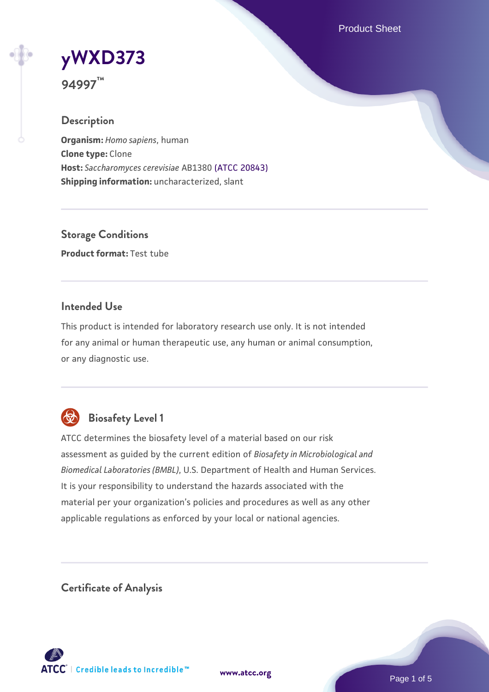Product Sheet

# **[yWXD373](https://www.atcc.org/products/94997)**

**94997™**

## **Description**

**Organism:** *Homo sapiens*, human **Clone type:** Clone **Host:** *Saccharomyces cerevisiae* AB1380 [\(ATCC 20843\)](https://www.atcc.org/products/20843) **Shipping information:** uncharacterized, slant

**Storage Conditions Product format:** Test tube

#### **Intended Use**

This product is intended for laboratory research use only. It is not intended for any animal or human therapeutic use, any human or animal consumption, or any diagnostic use.



# **Biosafety Level 1**

ATCC determines the biosafety level of a material based on our risk assessment as guided by the current edition of *Biosafety in Microbiological and Biomedical Laboratories (BMBL)*, U.S. Department of Health and Human Services. It is your responsibility to understand the hazards associated with the material per your organization's policies and procedures as well as any other applicable regulations as enforced by your local or national agencies.

**Certificate of Analysis**

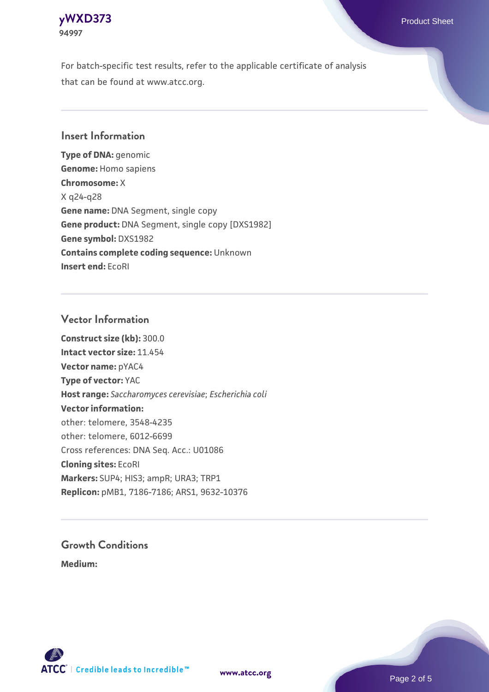

For batch-specific test results, refer to the applicable certificate of analysis that can be found at www.atcc.org.

#### **Insert Information**

**Type of DNA:** genomic **Genome:** Homo sapiens **Chromosome:** X X q24-q28 **Gene name:** DNA Segment, single copy **Gene product:** DNA Segment, single copy [DXS1982] **Gene symbol:** DXS1982 **Contains complete coding sequence:** Unknown **Insert end:** EcoRI

#### **Vector Information**

**Construct size (kb):** 300.0 **Intact vector size:** 11.454 **Vector name:** pYAC4 **Type of vector:** YAC **Host range:** *Saccharomyces cerevisiae*; *Escherichia coli* **Vector information:** other: telomere, 3548-4235 other: telomere, 6012-6699 Cross references: DNA Seq. Acc.: U01086 **Cloning sites:** EcoRI **Markers:** SUP4; HIS3; ampR; URA3; TRP1 **Replicon:** pMB1, 7186-7186; ARS1, 9632-10376

# **Growth Conditions**

**Medium:** 





Page 2 of 5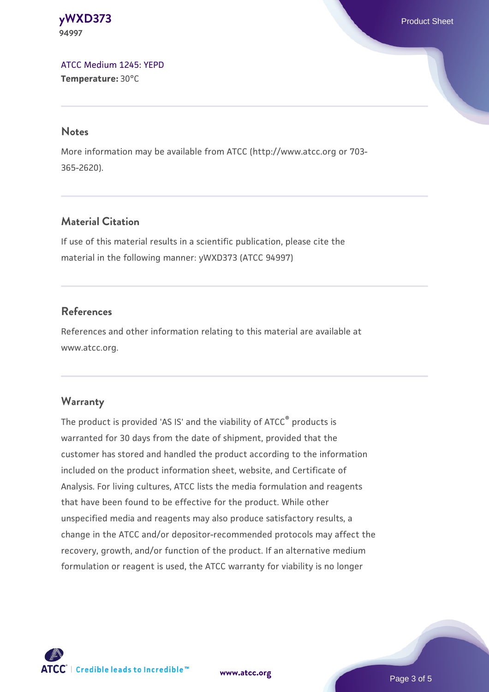**[yWXD373](https://www.atcc.org/products/94997)** Product Sheet **94997**

[ATCC Medium 1245: YEPD](https://www.atcc.org/-/media/product-assets/documents/microbial-media-formulations/1/2/4/5/atcc-medium-1245.pdf?rev=705ca55d1b6f490a808a965d5c072196) **Temperature:** 30°C

#### **Notes**

More information may be available from ATCC (http://www.atcc.org or 703- 365-2620).

#### **Material Citation**

If use of this material results in a scientific publication, please cite the material in the following manner: yWXD373 (ATCC 94997)

#### **References**

References and other information relating to this material are available at www.atcc.org.

#### **Warranty**

The product is provided 'AS IS' and the viability of ATCC® products is warranted for 30 days from the date of shipment, provided that the customer has stored and handled the product according to the information included on the product information sheet, website, and Certificate of Analysis. For living cultures, ATCC lists the media formulation and reagents that have been found to be effective for the product. While other unspecified media and reagents may also produce satisfactory results, a change in the ATCC and/or depositor-recommended protocols may affect the recovery, growth, and/or function of the product. If an alternative medium formulation or reagent is used, the ATCC warranty for viability is no longer



**[www.atcc.org](http://www.atcc.org)**

Page 3 of 5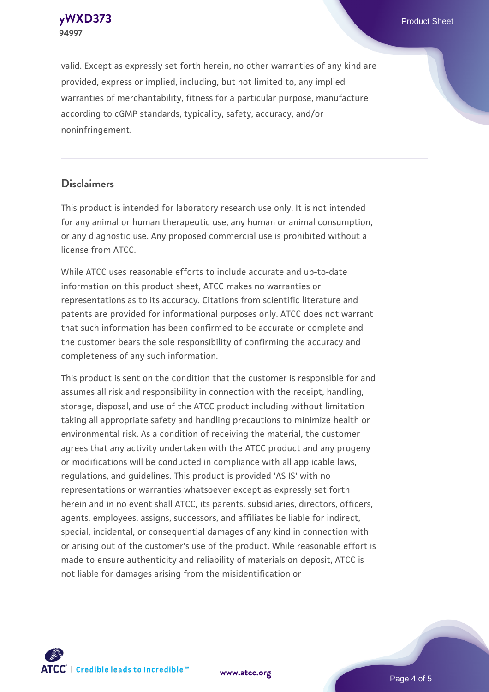

valid. Except as expressly set forth herein, no other warranties of any kind are provided, express or implied, including, but not limited to, any implied warranties of merchantability, fitness for a particular purpose, manufacture according to cGMP standards, typicality, safety, accuracy, and/or noninfringement.

#### **Disclaimers**

This product is intended for laboratory research use only. It is not intended for any animal or human therapeutic use, any human or animal consumption, or any diagnostic use. Any proposed commercial use is prohibited without a license from ATCC.

While ATCC uses reasonable efforts to include accurate and up-to-date information on this product sheet, ATCC makes no warranties or representations as to its accuracy. Citations from scientific literature and patents are provided for informational purposes only. ATCC does not warrant that such information has been confirmed to be accurate or complete and the customer bears the sole responsibility of confirming the accuracy and completeness of any such information.

This product is sent on the condition that the customer is responsible for and assumes all risk and responsibility in connection with the receipt, handling, storage, disposal, and use of the ATCC product including without limitation taking all appropriate safety and handling precautions to minimize health or environmental risk. As a condition of receiving the material, the customer agrees that any activity undertaken with the ATCC product and any progeny or modifications will be conducted in compliance with all applicable laws, regulations, and guidelines. This product is provided 'AS IS' with no representations or warranties whatsoever except as expressly set forth herein and in no event shall ATCC, its parents, subsidiaries, directors, officers, agents, employees, assigns, successors, and affiliates be liable for indirect, special, incidental, or consequential damages of any kind in connection with or arising out of the customer's use of the product. While reasonable effort is made to ensure authenticity and reliability of materials on deposit, ATCC is not liable for damages arising from the misidentification or



**[www.atcc.org](http://www.atcc.org)**

Page 4 of 5